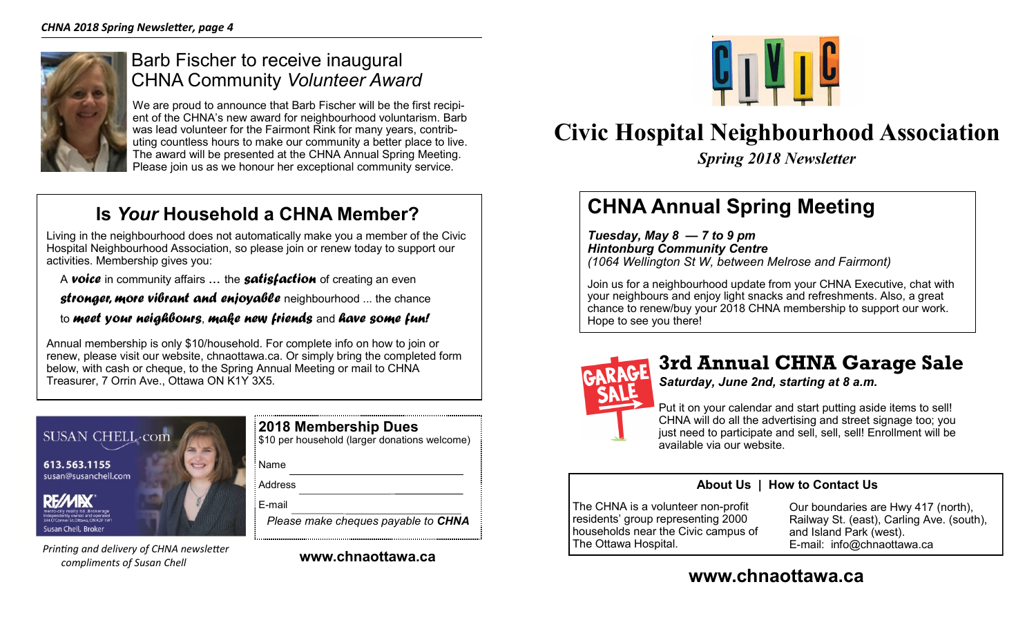

### Barb Fischer to receive inaugural CHNA Community *Volunteer Award*

We are proud to announce that Barb Fischer will be the first recipient of the CHNA's new award for neighbourhood voluntarism. Barb was lead volunteer for the Fairmont Rink for many years, contributing countless hours to make our community a better place to live. The award will be presented at the CHNA Annual Spring Meeting. Please join us as we honour her exceptional community service.

## **Is** *Your* **Household a CHNA Member?**

Living in the neighbourhood does not automatically make you a member of the Civic Hospital Neighbourhood Association, so please join or renew today to support our activities. Membership gives you:

A *voice* in community affairs ... the *satisfaction* of creating an even

*stronger, more vibrant and enjoyable* neighbourhood ... the chance

to *meet your neighbours*, *make new friends* and *have some fun!*

Annual membership is only \$10/household. For complete info on how to join or renew, please visit our website, chnaottawa.ca. Or simply bring the completed form below, with cash or cheque, to the Spring Annual Meeting or mail to CHNA Treasurer, 7 Orrin Ave., Ottawa ON K1Y 3X5.



*Printing and delivery of CHNA newsletter compliments of Susan Chell* 

| 2018 Membership Dues<br>\$10 per household (larger donations welcome) |
|-----------------------------------------------------------------------|
| : Name                                                                |
| : Address                                                             |
| : E-mail                                                              |
| Please make cheques payable to <b>CHNA</b>                            |

**www.chnaottawa.ca**



**Civic Hospital Neighbourhood Association**

*Spring 2018 Newsletter*

# **CHNA Annual Spring Meeting**

*Tuesday, May 8 — 7 to 9 pm Hintonburg Community Centre (1064 Wellington St W, between Melrose and Fairmont)*

Join us for a neighbourhood update from your CHNA Executive, chat with your neighbours and enjoy light snacks and refreshments. Also, a great chance to renew/buy your 2018 CHNA membership to support our work. Hope to see you there!



## **3rd Annual CHNA Garage Sale**

*Saturday, June 2nd, starting at 8 a.m.*

Put it on your calendar and start putting aside items to sell! CHNA will do all the advertising and street signage too; you just need to participate and sell, sell, sell! Enrollment will be available via our website.

### **About Us | How to Contact Us**

The CHNA is a volunteer non-profit residents' group representing 2000 households near the Civic campus of The Ottawa Hospital.

Our boundaries are Hwy 417 (north), Railway St. (east), Carling Ave. (south), and Island Park (west). E-mail: info@chnaottawa.ca

### **www.chnaottawa.ca**